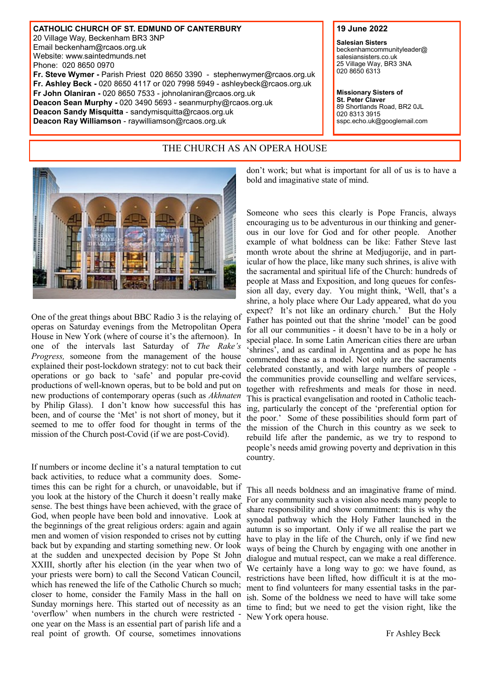**CATHOLIC CHURCH OF ST. EDMUND OF CANTERBURY** 20 Village Way, Beckenham BR3 3NP Email [beckenham@rcaos.org.uk](mailto:stedmundsparish@btconnect.com) Website: www.saintedmunds.net Phone: 020 8650 0970 **Fr. Steve Wymer -** Parish Priest 020 8650 3390 - stephenwymer@rcaos.org.uk **Fr. Ashley Beck -** 020 8650 4117 or 020 7998 5949 - [ashleybeck@rcaos.org.uk](mailto:ashleybeck88@hotmail.com) **Fr John Olaniran -** 020 8650 7533 - johnolaniran@rcaos.org.uk **Deacon Sean Murphy -** 020 3490 5693 - seanmurphy@rcaos.org.uk **Deacon Sandy Misquitta** - sandymisquitta@rcaos.org.uk **Deacon Ray Williamson** - raywilliamson@rcaos.org.uk

# THE CHURCH AS AN OPERA HOUSE



One of the great things about BBC Radio 3 is the relaying of operas on Saturday evenings from the Metropolitan Opera House in New York (where of course it's the afternoon). In one of the intervals last Saturday of *The Rake's Progress,* someone from the management of the house explained their post-lockdown strategy: not to cut back their operations or go back to 'safe' and popular pre-covid productions of well-known operas, but to be bold and put on new productions of contemporary operas (such as *Akhnaten*  by Philip Glass). I don't know how successful this has been, and of course the 'Met' is not short of money, but it seemed to me to offer food for thought in terms of the mission of the Church post-Covid (if we are post-Covid).

If numbers or income decline it's a natural temptation to cut back activities, to reduce what a community does. Sometimes this can be right for a church, or unavoidable, but if you look at the history of the Church it doesn't really make sense. The best things have been achieved, with the grace of God, when people have been bold and innovative. Look at the beginnings of the great religious orders: again and again men and women of vision responded to crises not by cutting back but by expanding and starting something new. Or look at the sudden and unexpected decision by Pope St John XXIII, shortly after his election (in the year when two of your priests were born) to call the Second Vatican Council, which has renewed the life of the Catholic Church so much; closer to home, consider the Family Mass in the hall on Sunday mornings here. This started out of necessity as an 'overflow' when numbers in the church were restricted one year on the Mass is an essential part of parish life and a real point of growth. Of course, sometimes innovations

don't work; but what is important for all of us is to have a bold and imaginative state of mind.

Someone who sees this clearly is Pope Francis, always encouraging us to be adventurous in our thinking and generous in our love for God and for other people. Another example of what boldness can be like: Father Steve last month wrote about the shrine at Medjugorije, and in particular of how the place, like many such shrines, is alive with the sacramental and spiritual life of the Church: hundreds of people at Mass and Exposition, and long queues for confession all day, every day. You might think, 'Well, that's a shrine, a holy place where Our Lady appeared, what do you expect? It's not like an ordinary church.' But the Holy Father has pointed out that the shrine 'model' can be good for all our communities - it doesn't have to be in a holy or special place. In some Latin American cities there are urban 'shrines', and as cardinal in Argentina and as pope he has commended these as a model. Not only are the sacraments celebrated constantly, and with large numbers of people the communities provide counselling and welfare services, together with refreshments and meals for those in need. This is practical evangelisation and rooted in Catholic teaching, particularly the concept of the 'preferential option for the poor.' Some of these possibilities should form part of the mission of the Church in this country as we seek to rebuild life after the pandemic, as we try to respond to people's needs amid growing poverty and deprivation in this country.

This all needs boldness and an imaginative frame of mind. For any community such a vision also needs many people to share responsibility and show commitment: this is why the synodal pathway which the Holy Father launched in the autumn is so important. Only if we all realise the part we have to play in the life of the Church, only if we find new ways of being the Church by engaging with one another in dialogue and mutual respect, can we make a real difference. We certainly have a long way to go: we have found, as restrictions have been lifted, how difficult it is at the moment to find volunteers for many essential tasks in the parish. Some of the boldness we need to have will take some time to find; but we need to get the vision right, like the New York opera house.

Fr Ashley Beck

#### **19 June 2022**

**Salesian Sisters** beckenhamcommunityleader@ salesiansisters.co.uk 25 Village Way, BR3 3NA 020 8650 6313

**Missionary Sisters of St. Peter Claver**  89 Shortlands Road, BR2 0JL 020 8313 3915 sspc.echo.uk@googlemail.com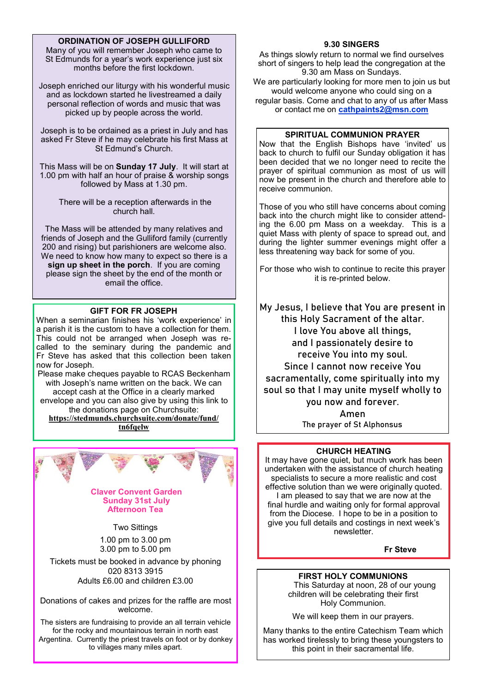# **ORDINATION OF JOSEPH GULLIFORD**

Many of you will remember Joseph who came to St Edmunds for a year's work experience just six months before the first lockdown.

Joseph enriched our liturgy with his wonderful music and as lockdown started he livestreamed a daily personal reflection of words and music that was picked up by people across the world.

Joseph is to be ordained as a priest in July and has asked Fr Steve if he may celebrate his first Mass at St Edmund's Church.

This Mass will be on **Sunday 17 July**. It will start at 1.00 pm with half an hour of praise & worship songs followed by Mass at 1.30 pm.

> There will be a reception afterwards in the church hall.

The Mass will be attended by many relatives and friends of Joseph and the Gulliford family (currently 200 and rising) but parishioners are welcome also. We need to know how many to expect so there is a **sign up sheet in the porch**. If you are coming please sign the sheet by the end of the month or email the office.

## **GIFT FOR FR JOSEPH**

When a seminarian finishes his 'work experience' in a parish it is the custom to have a collection for them. This could not be arranged when Joseph was recalled to the seminary during the pandemic and Fr Steve has asked that this collection been taken now for Joseph.

Please make cheques payable to RCAS Beckenham with Joseph's name written on the back. We can accept cash at the Office in a clearly marked envelope and you can also give by using this link to the donations page on Churchsuite: **[https://stedmunds.churchsuite.com/donate/fund/](https://stedmunds.churchsuite.com/donate/fund/tn6fqelw)**

**[tn6fqelw](https://stedmunds.churchsuite.com/donate/fund/tn6fqelw)**



#### **Claver Convent Garden Sunday 31st July Afternoon Tea**

## Two Sittings

1.00 pm to 3.00 pm 3.00 pm to 5.00 pm

Tickets must be booked in advance by phoning 020 8313 3915 Adults £6.00 and children £3.00

Donations of cakes and prizes for the raffle are most welcome.

The sisters are fundraising to provide an all terrain vehicle for the rocky and mountainous terrain in north east Argentina. Currently the priest travels on foot or by donkey to villages many miles apart.

### **9.30 SINGERS**

As things slowly return to normal we find ourselves short of singers to help lead the congregation at the 9.30 am Mass on Sundays.

We are particularly looking for more men to join us but would welcome anyone who could sing on a regular basis. Come and chat to any of us after Mass or contact me on **cathpaints2@msn.com**

### **SPIRITUAL COMMUNION PRAYER**

Now that the English Bishops have 'invited' us back to church to fulfil our Sunday obligation it has been decided that we no longer need to recite the prayer of spiritual communion as most of us will now be present in the church and therefore able to receive communion.

Those of you who still have concerns about coming back into the church might like to consider attending the 6.00 pm Mass on a weekday. This is a quiet Mass with plenty of space to spread out, and during the lighter summer evenings might offer a less threatening way back for some of you.

For those who wish to continue to recite this prayer it is re-printed below.

**My Jesus, I believe that You are present in this Holy Sacrament of the altar. I love You above all things, and I passionately desire to receive You into my soul. Since I cannot now receive You sacramentally, come spiritually into my soul so that I may unite myself wholly to you now and forever. Amen**

**The prayer of St Alphonsus**

## **CHURCH HEATING**

It may have gone quiet, but much work has been undertaken with the assistance of church heating specialists to secure a more realistic and cost effective solution than we were originally quoted. I am pleased to say that we are now at the final hurdle and waiting only for formal approval from the Diocese. I hope to be in a position to give you full details and costings in next week's newsletter.

**Fr Steve**

## **FIRST HOLY COMMUNIONS**

This Saturday at noon, 28 of our young children will be celebrating their first Holy Communion.

We will keep them in our prayers.

Many thanks to the entire Catechism Team which has worked tirelessly to bring these youngsters to this point in their sacramental life.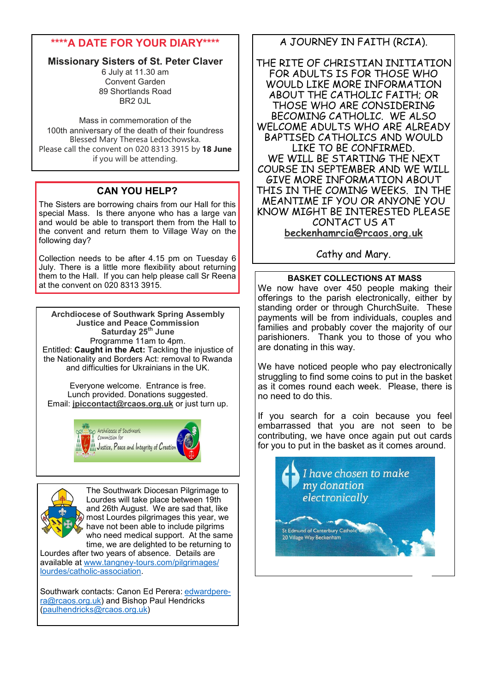# **\*\*\*\*A DATE FOR YOUR DIARY\*\*\*\***

# **Missionary Sisters of St. Peter Claver**

6 July at 11.30 am Convent Garden 89 Shortlands Road BR2 0JL

Mass in commemoration of the 100th anniversary of the death of their foundress Blessed Mary Theresa Ledochowska. Please call the convent on 020 8313 3915 by **18 June**  if you will be attending.

# **CAN YOU HELP?**

The Sisters are borrowing chairs from our Hall for this special Mass. Is there anyone who has a large van and would be able to transport them from the Hall to the convent and return them to Village Way on the following day?

Collection needs to be after 4.15 pm on Tuesday 6 July. There is a little more flexibility about returning them to the Hall. If you can help please call Sr Reena at the convent on 020 8313 3915.

**Archdiocese of Southwark Spring Assembly Justice and Peace Commission Saturday 25th June** Programme 11am to 4pm. Entitled: **Caught in the Act:** Tackling the injustice of the Nationality and Borders Act: removal to Rwanda and difficulties for Ukrainians in the UK.

Everyone welcome. Entrance is free. Lunch provided. Donations suggested. Email: **[jpiccontact@rcaos.org.uk](mailto:jpiccontact@rcaos.org.uk)** or just turn up.





The Southwark Diocesan Pilgrimage to Lourdes will take place between 19th and 26th August. We are sad that, like most Lourdes pilgrimages this year, we have not been able to include pilgrims who need medical support. At the same time, we are delighted to be returning to

Lourdes after two years of absence. Details are available at www.tangney-[tours.com/pilgrimages/](http://www.tangney-tours.com/pilgrimages/lourdes/catholic-association) [lourdes/catholic](http://www.tangney-tours.com/pilgrimages/lourdes/catholic-association)-association.

Southwark contacts: Canon Ed Perera: [edwardpere](mailto:edwardperera@rcaos.org.uk)[ra@rcaos.org.uk\)](mailto:edwardperera@rcaos.org.uk) and Bishop Paul Hendricks [\(paulhendricks@rcaos.org.uk\)](mailto:paulhendricks@rcaos.org.uk)

# A JOURNEY IN FAITH (RCIA).

THE RITE OF CHRISTIAN INITIATION FOR ADULTS IS FOR THOSE WHO WOULD LIKE MORE INFORMATION ABOUT THE CATHOLIC FAITH; OR THOSE WHO ARE CONSIDERING BECOMING CATHOLIC. WE ALSO WELCOME ADULTS WHO ARE ALREADY BAPTISED CATHOLICS AND WOULD LIKE TO BE CONFIRMED. WE WILL BE STARTING THE NEXT COURSE IN SEPTEMBER AND WE WILL GIVE MORE INFORMATION ABOUT THIS IN THE COMING WEEKS. IN THE MEANTIME IF YOU OR ANYONE YOU KNOW MIGHT BE INTERESTED PLEASE CONTACT US AT **[beckenhamrcia@rcaos.org.uk](mailto:beckenhamrcia@rcaos.org.uk)**

# Cathy and Mary.

# **BASKET COLLECTIONS AT MASS**

We now have over 450 people making their offerings to the parish electronically, either by standing order or through ChurchSuite. These payments will be from individuals, couples and families and probably cover the majority of our parishioners. Thank you to those of you who are donating in this way.

We have noticed people who pay electronically struggling to find some coins to put in the basket as it comes round each week. Please, there is no need to do this.

If you search for a coin because you feel embarrassed that you are not seen to be contributing, we have once again put out cards for you to put in the basket as it comes around.